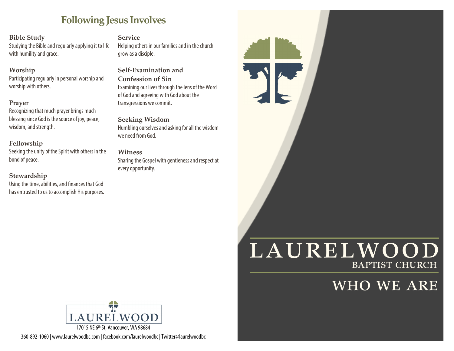# **Following Jesus Involves**

### **Bible Study**

Studying the Bible and regularly applying it to life with humility and grace.

### **Worship**

Participating regularly in personal worship and worship with others.

### **Prayer**

Recognizing that much prayer brings much blessing since God is the source of joy, peace, wisdom, and strength.

## **Fellowship**

Seeking the unity of the Spirit with others in the bond of peace.

### **Stewardship**

Using the time, abilities, and finances that God has entrusted to us to accomplish His purposes. **Service** 

Helping others in our families and in the church grow as a disciple.

### **Self-Examination and Confession of Sin**  Examining our lives through the lens of the Word of God and agreeing with God about the transgressions we commit.

**Seeking Wisdom**  Humbling ourselves and asking for all the wisdom we need from God.

**Witness**  Sharing the Gospel with gentleness and respect at every opportunity.

# LAURELWOOD baptist church

S Part

# who we are



360-892-1060 | www.laurelwoodbc.com | facebook.com/laurelwoodbc | Twitter@laurelwoodbc